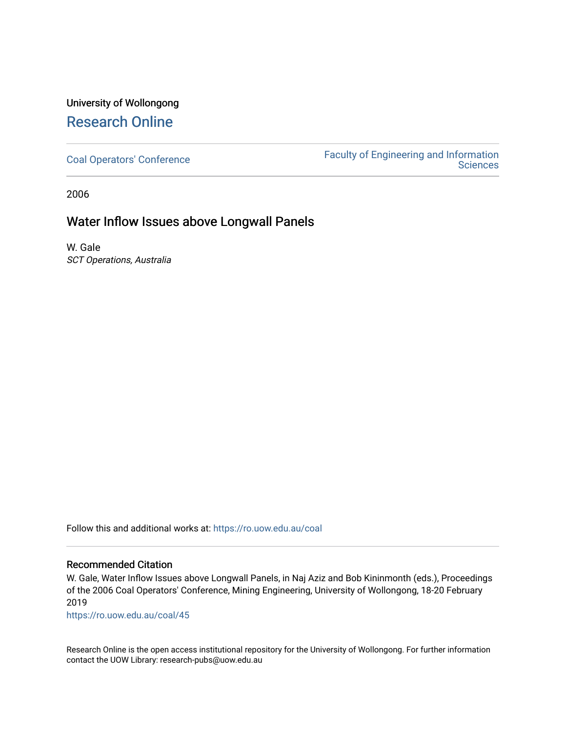# University of Wollongong [Research Online](https://ro.uow.edu.au/)

[Coal Operators' Conference](https://ro.uow.edu.au/coal) [Faculty of Engineering and Information](https://ro.uow.edu.au/eis)  **Sciences** 

2006

## Water Inflow Issues above Longwall Panels

W. Gale SCT Operations, Australia

Follow this and additional works at: [https://ro.uow.edu.au/coal](https://ro.uow.edu.au/coal?utm_source=ro.uow.edu.au%2Fcoal%2F45&utm_medium=PDF&utm_campaign=PDFCoverPages) 

### Recommended Citation

W. Gale, Water Inflow Issues above Longwall Panels, in Naj Aziz and Bob Kininmonth (eds.), Proceedings of the 2006 Coal Operators' Conference, Mining Engineering, University of Wollongong, 18-20 February 2019

[https://ro.uow.edu.au/coal/45](https://ro.uow.edu.au/coal/45?utm_source=ro.uow.edu.au%2Fcoal%2F45&utm_medium=PDF&utm_campaign=PDFCoverPages) 

Research Online is the open access institutional repository for the University of Wollongong. For further information contact the UOW Library: research-pubs@uow.edu.au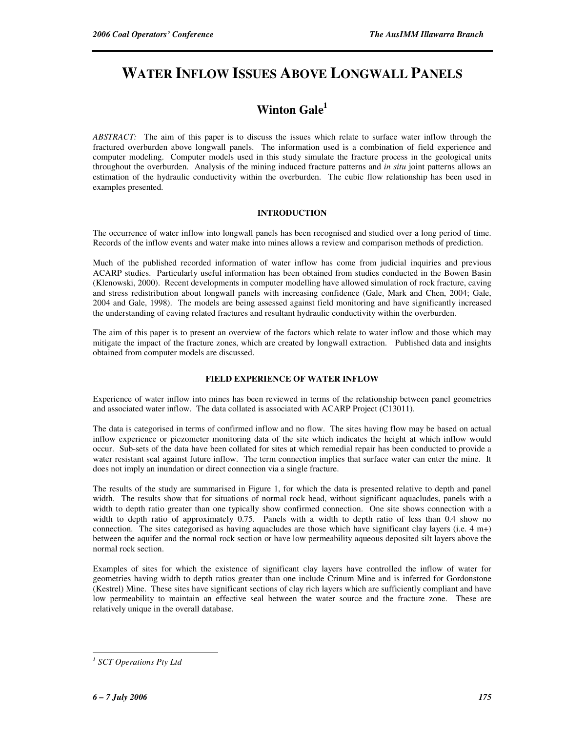# **WATER INFLOW ISSUES ABOVE LONGWALL PANELS**

## **Winton Gale<sup>1</sup>**

*ABSTRACT:* The aim of this paper is to discuss the issues which relate to surface water inflow through the fractured overburden above longwall panels. The information used is a combination of field experience and computer modeling. Computer models used in this study simulate the fracture process in the geological units throughout the overburden. Analysis of the mining induced fracture patterns and *in situ* joint patterns allows an estimation of the hydraulic conductivity within the overburden. The cubic flow relationship has been used in examples presented.

### **INTRODUCTION**

The occurrence of water inflow into longwall panels has been recognised and studied over a long period of time. Records of the inflow events and water make into mines allows a review and comparison methods of prediction.

Much of the published recorded information of water inflow has come from judicial inquiries and previous ACARP studies. Particularly useful information has been obtained from studies conducted in the Bowen Basin (Klenowski, 2000). Recent developments in computer modelling have allowed simulation of rock fracture, caving and stress redistribution about longwall panels with increasing confidence (Gale, Mark and Chen, 2004; Gale, 2004 and Gale, 1998). The models are being assessed against field monitoring and have significantly increased the understanding of caving related fractures and resultant hydraulic conductivity within the overburden.

The aim of this paper is to present an overview of the factors which relate to water inflow and those which may mitigate the impact of the fracture zones, which are created by longwall extraction. Published data and insights obtained from computer models are discussed.

#### **FIELD EXPERIENCE OF WATER INFLOW**

Experience of water inflow into mines has been reviewed in terms of the relationship between panel geometries and associated water inflow. The data collated is associated with ACARP Project (C13011).

The data is categorised in terms of confirmed inflow and no flow. The sites having flow may be based on actual inflow experience or piezometer monitoring data of the site which indicates the height at which inflow would occur. Sub-sets of the data have been collated for sites at which remedial repair has been conducted to provide a water resistant seal against future inflow. The term connection implies that surface water can enter the mine. It does not imply an inundation or direct connection via a single fracture.

The results of the study are summarised in Figure 1, for which the data is presented relative to depth and panel width. The results show that for situations of normal rock head, without significant aquacludes, panels with a width to depth ratio greater than one typically show confirmed connection. One site shows connection with a width to depth ratio of approximately 0.75. Panels with a width to depth ratio of less than 0.4 show no connection. The sites categorised as having aquacludes are those which have significant clay layers (i.e. 4 m+) between the aquifer and the normal rock section or have low permeability aqueous deposited silt layers above the normal rock section.

Examples of sites for which the existence of significant clay layers have controlled the inflow of water for geometries having width to depth ratios greater than one include Crinum Mine and is inferred for Gordonstone (Kestrel) Mine. These sites have significant sections of clay rich layers which are sufficiently compliant and have low permeability to maintain an effective seal between the water source and the fracture zone. These are relatively unique in the overall database.

 $\overline{a}$ 

*<sup>1</sup> SCT Operations Pty Ltd*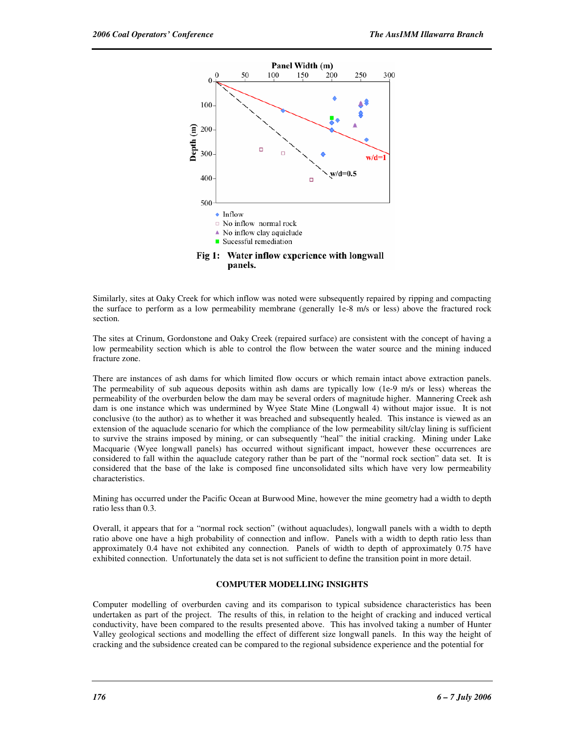

Similarly, sites at Oaky Creek for which inflow was noted were subsequently repaired by ripping and compacting the surface to perform as a low permeability membrane (generally 1e-8 m/s or less) above the fractured rock section.

The sites at Crinum, Gordonstone and Oaky Creek (repaired surface) are consistent with the concept of having a low permeability section which is able to control the flow between the water source and the mining induced fracture zone.

There are instances of ash dams for which limited flow occurs or which remain intact above extraction panels. The permeability of sub aqueous deposits within ash dams are typically low (1e-9 m/s or less) whereas the permeability of the overburden below the dam may be several orders of magnitude higher. Mannering Creek ash dam is one instance which was undermined by Wyee State Mine (Longwall 4) without major issue. It is not conclusive (to the author) as to whether it was breached and subsequently healed. This instance is viewed as an extension of the aquaclude scenario for which the compliance of the low permeability silt/clay lining is sufficient to survive the strains imposed by mining, or can subsequently "heal" the initial cracking. Mining under Lake Macquarie (Wyee longwall panels) has occurred without significant impact, however these occurrences are considered to fall within the aquaclude category rather than be part of the "normal rock section" data set. It is considered that the base of the lake is composed fine unconsolidated silts which have very low permeability characteristics.

Mining has occurred under the Pacific Ocean at Burwood Mine, however the mine geometry had a width to depth ratio less than 0.3.

Overall, it appears that for a "normal rock section" (without aquacludes), longwall panels with a width to depth ratio above one have a high probability of connection and inflow. Panels with a width to depth ratio less than approximately 0.4 have not exhibited any connection. Panels of width to depth of approximately 0.75 have exhibited connection. Unfortunately the data set is not sufficient to define the transition point in more detail.

#### **COMPUTER MODELLING INSIGHTS**

Computer modelling of overburden caving and its comparison to typical subsidence characteristics has been undertaken as part of the project. The results of this, in relation to the height of cracking and induced vertical conductivity, have been compared to the results presented above. This has involved taking a number of Hunter Valley geological sections and modelling the effect of different size longwall panels. In this way the height of cracking and the subsidence created can be compared to the regional subsidence experience and the potential for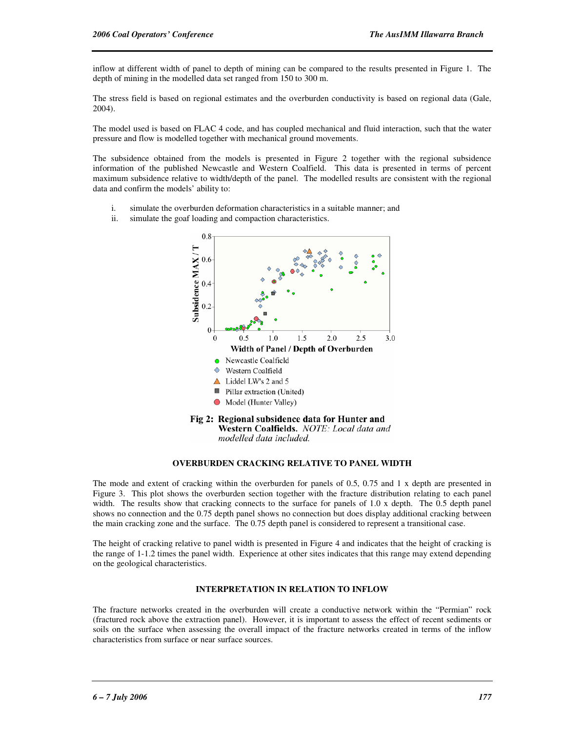inflow at different width of panel to depth of mining can be compared to the results presented in Figure 1. The depth of mining in the modelled data set ranged from 150 to 300 m.

The stress field is based on regional estimates and the overburden conductivity is based on regional data (Gale, 2004).

The model used is based on FLAC 4 code, and has coupled mechanical and fluid interaction, such that the water pressure and flow is modelled together with mechanical ground movements.

The subsidence obtained from the models is presented in Figure 2 together with the regional subsidence information of the published Newcastle and Western Coalfield. This data is presented in terms of percent maximum subsidence relative to width/depth of the panel. The modelled results are consistent with the regional data and confirm the models' ability to:

- i. simulate the overburden deformation characteristics in a suitable manner; and
- ii. simulate the goaf loading and compaction characteristics.



#### **OVERBURDEN CRACKING RELATIVE TO PANEL WIDTH**

The mode and extent of cracking within the overburden for panels of 0.5, 0.75 and 1 x depth are presented in Figure 3. This plot shows the overburden section together with the fracture distribution relating to each panel width. The results show that cracking connects to the surface for panels of 1.0 x depth. The 0.5 depth panel shows no connection and the 0.75 depth panel shows no connection but does display additional cracking between the main cracking zone and the surface. The 0.75 depth panel is considered to represent a transitional case.

The height of cracking relative to panel width is presented in Figure 4 and indicates that the height of cracking is the range of 1-1.2 times the panel width. Experience at other sites indicates that this range may extend depending on the geological characteristics.

#### **INTERPRETATION IN RELATION TO INFLOW**

The fracture networks created in the overburden will create a conductive network within the "Permian" rock (fractured rock above the extraction panel). However, it is important to assess the effect of recent sediments or soils on the surface when assessing the overall impact of the fracture networks created in terms of the inflow characteristics from surface or near surface sources.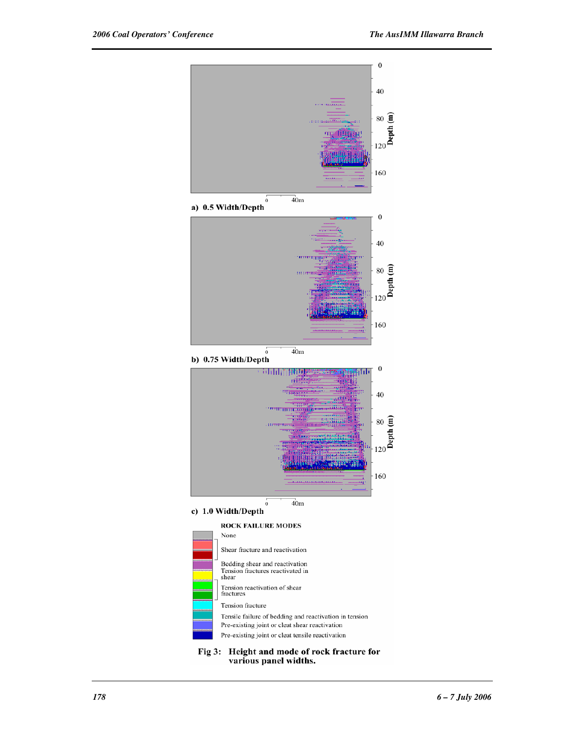

Fig 3: Height and mode of rock fracture for various panel widths.